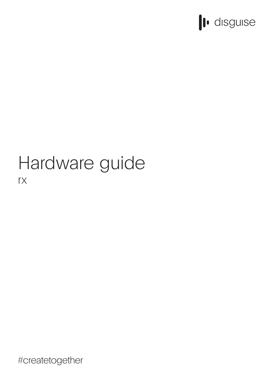

# Hardware guide rx

#createtogether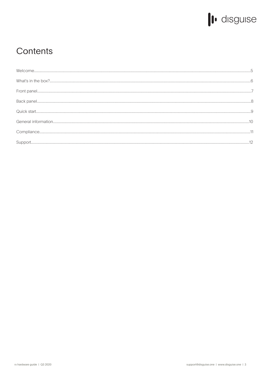

## Contents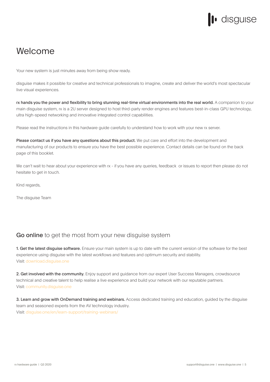# · disguise

## Welcome

Your new system is just minutes away from being show ready.

disguise makes it possible for creative and technical professionals to imagine, create and deliver the world's most spectacular live visual experiences.

rx hands you the power and flexibility to bring stunning real-time virtual environments into the real world. A companion to your main disguise system, rx is a 2U server designed to host third-party render engines and features best-in-class GPU technology, ultra high-speed networking and innovative integrated control capabilities.

Please read the instructions in this hardware guide carefully to understand how to work with your new rx server.

Please contact us if you have any questions about this product. We put care and effort into the development and manufacturing of our products to ensure you have the best possible experience. Contact details can be found on the back page of this booklet.

We can't wait to hear about your experience with rx - if you have any queries, feedback or issues to report then please do not hesitate to get in touch.

Kind regards,

The disguise Team

### Go online to get the most from your new disguise system

1. Get the latest disguise software. Ensure your main system is up to date with the current version of the software for the best experience using disguise with the latest workflows and features and optimum security and stability. Visit: download.disguise.one

2. Get involved with the community. Enjoy support and guidance from our expert User Success Managers, crowdsource technical and creative talent to help realise a live experience and build your network with our reputable partners. Visit: community.disguise.one

3. Learn and grow with OnDemand training and webinars. Access dedicated training and education, guided by the disguise team and seasoned experts from the AV technology industry. Visit: disguise.one/en/learn-support/training-webinars/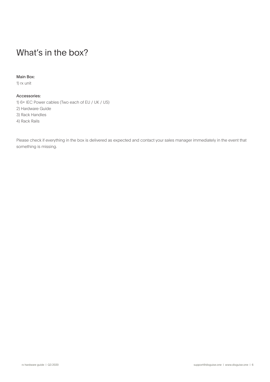## What's in the box?

### Main Box:

1) rx unit

### Accessories:

1) 6x IEC Power cables (Two each of EU / UK / US) 2) Hardware Guide 3) Rack Handles 4) Rack Rails

Please check if everything in the box is delivered as expected and contact your sales manager immediately in the event that something is missing.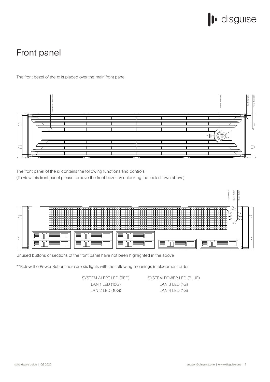# l disguise

# Front panel

The front bezel of the rx is placed over the main front panel:



The front panel of the rx contains the following functions and controls:

(To view this front panel please remove the front bezel by unlocking the lock shown above)



Unused buttons or sections of the front panel have not been highlighted in the above

\*\*Below the Power Button there are six lights with the following meanings in placement order:

SYSTEM ALERT LED (RED) LAN 1 LED (10G) LAN 2 LED (10G)

SYSTEM POWER LED (BLUE) LAN 3 LED (1G) LAN 4 LED (1G)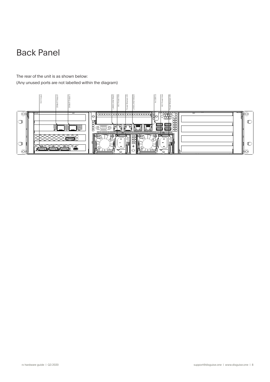# Back Panel

The rear of the unit is as shown below: (Any unused ports are not labelled within the diagram)

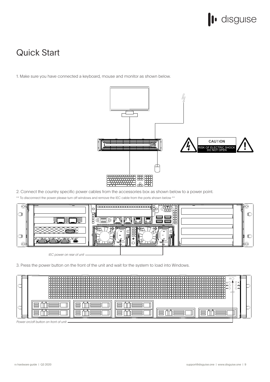

## Quick Start

1. Make sure you have connected a keyboard, mouse and monitor as shown below.



2. Connect the country specific power cables from the accessories box as shown below to a power point.

\*\* To disconnect the power please turn off windows and remove the IEC cable from the ports shown below \*\*



3. Press the power button on the front of the unit and wait for the system to load into Windows.



Power on/off button on front of unit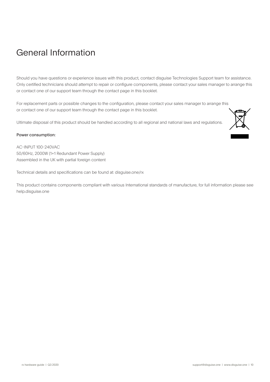# General Information

Should you have questions or experience issues with this product, contact disguise Technologies Support team for assistance. Only certified technicians should attempt to repair or configure components, please contact your sales manager to arrange this or contact one of our support team through the contact page in this booklet.

For replacement parts or possible changes to the configuration, please contact your sales manager to arrange this or contact one of our support team through the contact page in this booklet.

Ultimate disposal of this product should be handled according to all regional and national laws and regulations.

#### Power consumption:

AC-INPUT 100-240VAC 50/60Hz, 2000W (1+1 Redundant Power Supply) Assembled in the UK with partial foreign content

Technical details and specifications can be found at: disguise.one/rx

This product contains components compliant with various International standards of manufacture, for full information please see help.disguise.one

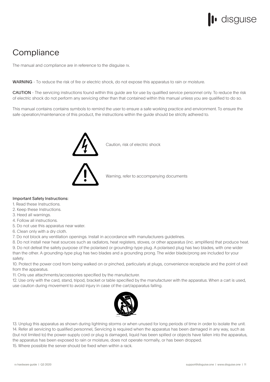# disguise

## **Compliance**

The manual and compliance are in reference to the disguise rx.

WARNING - To reduce the risk of fire or electric shock, do not expose this apparatus to rain or moisture.

CAUTION - The servicing instructions found within this guide are for use by qualified service personnel only. To reduce the risk of electric shock do not perform any servicing other than that contained within this manual unless you are qualified to do so.

This manual contains contains symbols to remind the user to ensure a safe working practice and environment. To ensure the safe operation/maintenance of this product, the instructions within the guide should be strictly adhered to.



Caution, risk of electric shock

Warning, refer to accompanying documents

#### Important Safety Instructions:

- 1. Read these Instructions.
- 2. Keep these Instructions.
- 3. Heed all warnings.
- 4. Follow all instructions.
- 5. Do not use this apparatus near water.
- 6. Clean only with a dry cloth.
- 7. Do not block any ventilation openings. Install in accordance with manufacturers guidelines.

8. Do not install near heat sources such as radiators, heat registers, stoves, or other apparatus (inc. amplifiers) that produce heat. 9. Do not defeat the safety purpose of the polarised or grounding-type plug. A polarised plug has two blades, with one wider than the other. A grounding-type plug has two blades and a grounding prong. The wider blade/prong are included for your safety.

10. Protect the power cord from being walked on or pinched, particularly at plugs, convenience receptacle and the point of exit from the apparatus.

11. Only use attachments/accessories specified by the manufacturer.

12. Use only with the card, stand, tripod, bracket or table specified by the manufacturer with the apparatus. When a cart is used, use caution during movement to avoid injury in case of the cart/apparatus falling.



13. Unplug this apparatus as shown during lightning storms or when unused for long periods of time in order to isolate the unit. 14. Refer all servicing to qualified personnel, Servicing is required when the apparatus has been damaged in any way, such as (but not limited to) the power-supply cord or plug is damaged, liquid has been spilled or objects have fallen into the apparatus, the apparatus has been exposed to rain or moisture, does not operate normally, or has been dropped. 15. Where possible the server should be fixed when within a rack.